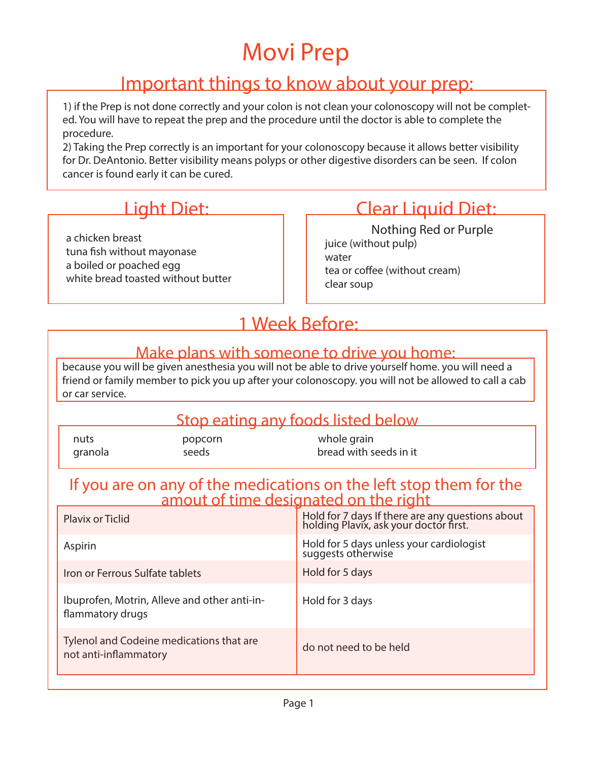### Important things to know about your prep:

1) if the Prep is not done correctly and your colon is not clean your colonoscopy will not be completed. You will have to repeat the prep and the procedure until the doctor is able to complete the procedure.

2) Taking the Prep correctly is an important for your colonoscopy because it allows better visibility for Dr. DeAntonio. Better visibility means polyps or other digestive disorders can be seen. If colon cancer is found early it can be cured.

a chicken breast tuna fish without mayonase a boiled or poached egg white bread toasted without butter

# Light Diet: Clear Liquid Diet:

juice (without pulp) water tea or coffee (without cream) clear soup Nothing Red or Purple

# 1 Week Before:

#### Make plans with someone to drive you home:

because you will be given anesthesia you will not be able to drive yourself home. you will need a friend or family member to pick you up after your colonoscopy. you will not be allowed to call a cab or car service.

#### Stop eating any foods listed below

| nuts    | popcorn | whole grain            |
|---------|---------|------------------------|
| granola | seeds   | bread with seeds in it |

# If you are on any of the medications on the left stop them for the amout of time designated on the right

| <b>Plavix or Ticlid</b>                                           | Hold for 7 days If there are any questions about<br>holding Plavix, ask your doctor first. |
|-------------------------------------------------------------------|--------------------------------------------------------------------------------------------|
| Aspirin                                                           | Hold for 5 days unless your cardiologist<br>suggests otherwise                             |
| Iron or Ferrous Sulfate tablets                                   | Hold for 5 days                                                                            |
| Ibuprofen, Motrin, Alleve and other anti-in-<br>flammatory drugs  | Hold for 3 days                                                                            |
| Tylenol and Codeine medications that are<br>not anti-inflammatory | do not need to be held                                                                     |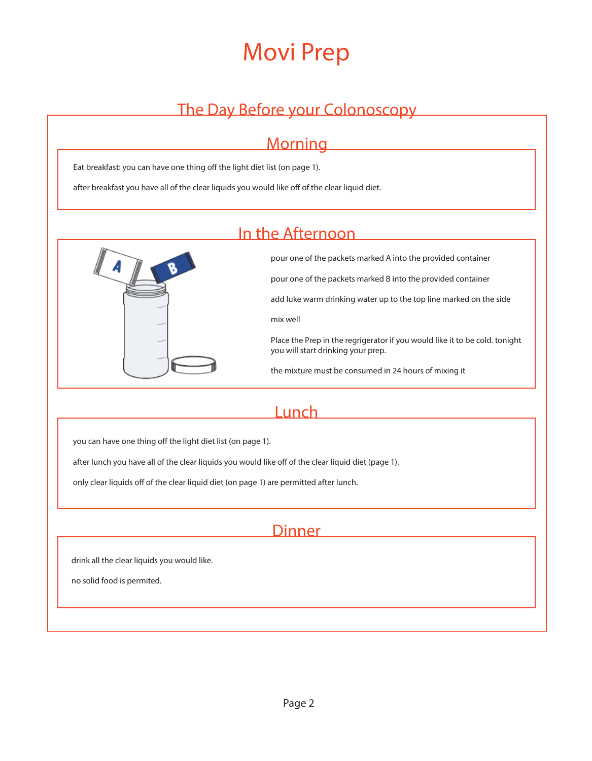### The Day Before your Colonoscopy

# **Morning**

Eat breakfast: you can have one thing off the light diet list (on page 1).

after breakfast you have all of the clear liquids you would like off of the clear liquid diet.

#### In the Afternoon



pour one of the packets marked A into the provided container

pour one of the packets marked B into the provided container

add luke warm drinking water up to the top line marked on the side

mix well

Place the Prep in the regrigerator if you would like it to be cold. tonight you will start drinking your prep.

the mixture must be consumed in 24 hours of mixing it

#### **Lunch**

you can have one thing off the light diet list (on page 1).

after lunch you have all of the clear liquids you would like off of the clear liquid diet (page 1).

only clear liquids off of the clear liquid diet (on page 1) are permitted after lunch.

#### Dinner

drink all the clear liquids you would like.

no solid food is permited.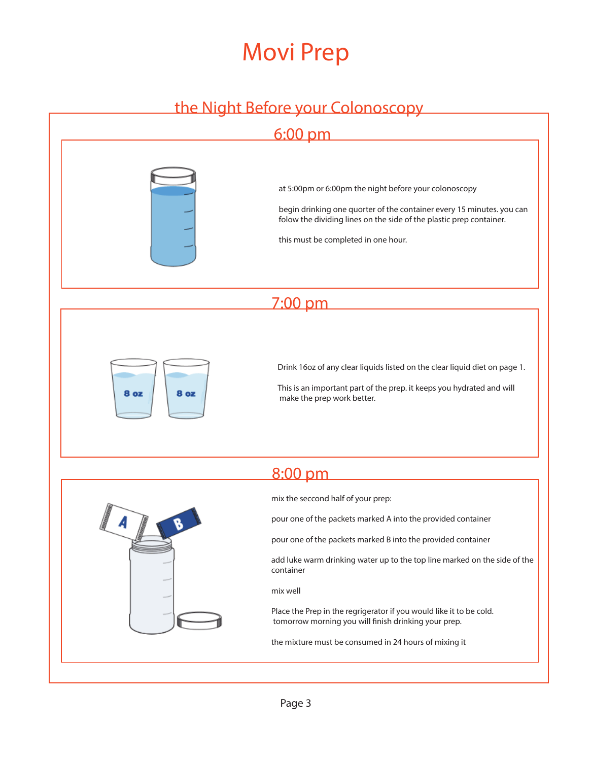### the Night Before your Colonoscopy